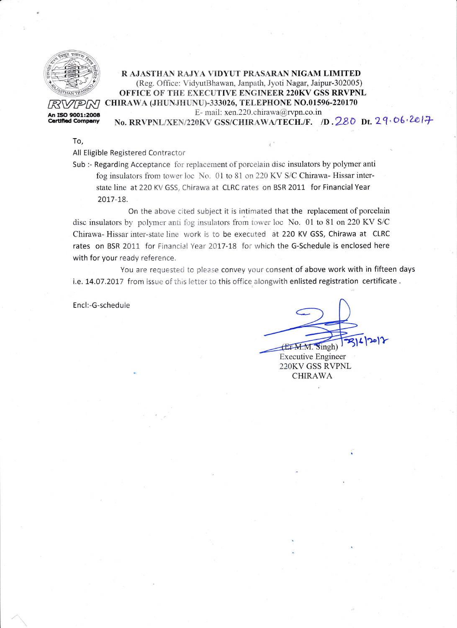

## R AJASTHANI RAJYA VIDYUT PRASARAN NIGAM LIMITED (Reg. Office: VidyutBhawan, Janpath, Jyoti Nagar, Jaipur-302005) OFFICE OF THE EXECUTIVE ENGINEER 220KV GSS RRVPNL  $R$ VPM CHIRAWA (JHUNJHUNU)-333026, TELEPHONE NO.01596-220170<br>An ISO 9001:2008 E-mail: xen.220.chirawa@rvpn.co.in E- mail: xen.220.chirawa@rvpn.co.in<br> **Certified Company** No. RRVPNL/XEN/220KV GSS/CHIRAWA/TECH./F. (D. 220 Dt. 29, 06, 2017)

To,

All Eligible Registered Contractor

Sub :- Regarding Acceptance for replacement of porcelain disc insulators by polymer anti fog insulators from tower loc No. 01 to 81 on 220 KV S/C Chirawa- Hissar interstate line at 220 KV GSS, Chirawa at CLRC rates on BSR 2011 for Financial Year 2017-L8.

On the above cited subject it is intimated that the replacement of porcelain disc insulators by polymer anti fog insulators from tower loc No. 01 to 81 on 220 KV S/C Chirawa- Hissar inter-state line work is to be executed at 220 KV GSS, Chirawa at CLRC rates on BSR 2011 for Financial Year 2017-18 for which the G-Schedule is enclosed here with for your ready reference.

You are requested to please convey your consent of above work with in fifteen days i.e. 14.07.2017 from issue of this letter to this office alongwith enlisted registration certificate.

Encl:-G-schedule

Executive Engineer  $EFM.M.$  Singh)

22OKV GSS RVPNL CHIRAWA